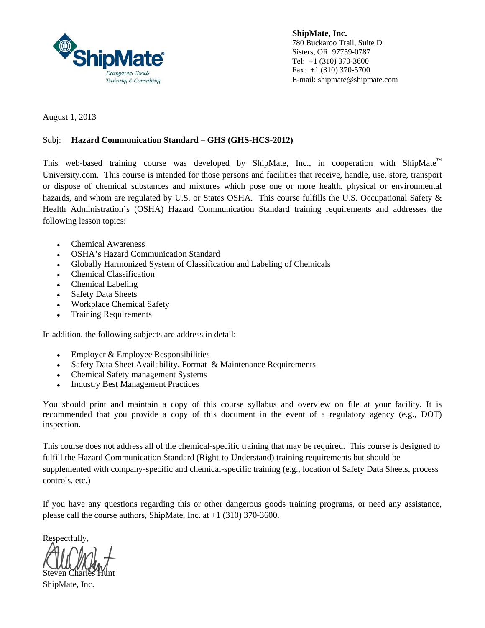

**ShipMate, Inc.**  780 Buckaroo Trail, Suite D Sisters, OR 97759-0787 Tel: +1 (310) 370-3600 Fax: +1 (310) 370-5700 E-mail: shipmate@shipmate.com

August 1, 2013

#### Subj: **Hazard Communication Standard – GHS (GHS-HCS-2012)**

This web-based training course was developed by ShipMate, Inc., in cooperation with ShipMate<sup>™</sup> University.com. This course is intended for those persons and facilities that receive, handle, use, store, transport or dispose of chemical substances and mixtures which pose one or more health, physical or environmental hazards, and whom are regulated by U.S. or States OSHA. This course fulfills the U.S. Occupational Safety & Health Administration's (OSHA) Hazard Communication Standard training requirements and addresses the following lesson topics:

- Chemical Awareness
- OSHA's Hazard Communication Standard
- Globally Harmonized System of Classification and Labeling of Chemicals
- Chemical Classification
- Chemical Labeling
- Safety Data Sheets
- Workplace Chemical Safety
- Training Requirements

In addition, the following subjects are address in detail:

- Employer & Employee Responsibilities
- Safety Data Sheet Availability, Format & Maintenance Requirements
- Chemical Safety management Systems
- Industry Best Management Practices

You should print and maintain a copy of this course syllabus and overview on file at your facility. It is recommended that you provide a copy of this document in the event of a regulatory agency (e.g., DOT) inspection.

This course does not address all of the chemical-specific training that may be required. This course is designed to fulfill the Hazard Communication Standard (Right-to-Understand) training requirements but should be supplemented with company-specific and chemical-specific training (e.g., location of Safety Data Sheets, process controls, etc.)

If you have any questions regarding this or other dangerous goods training programs, or need any assistance, please call the course authors, ShipMate, Inc. at +1 (310) 370-3600.

Respectfully,

Steven Charle

ShipMate, Inc.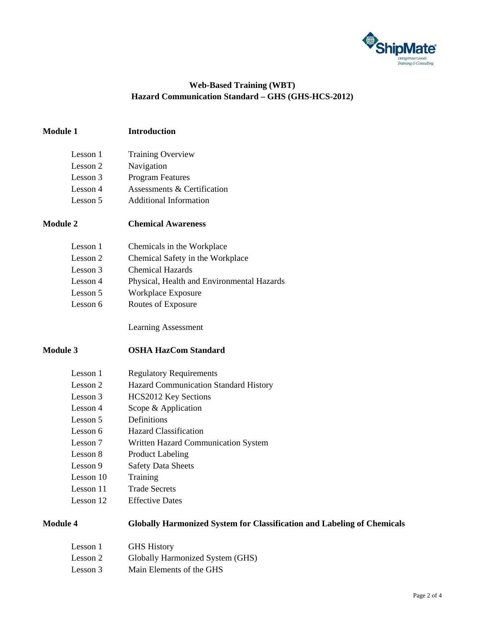

### **Web-Based Training (WBT) Hazard Communication Standard – GHS (GHS-HCS-2012)**

# **Module 1 Introduction**

| Lesson 1 | <b>Training Overview</b>    |
|----------|-----------------------------|
| Lesson 2 | Navigation                  |
| Lesson 3 | <b>Program Features</b>     |
| Lesson 4 | Assessments & Certification |
| Lesson 5 | Additional Information      |

#### **Module 2 Chemical Awareness**

| Lesson 1 | Chemicals in the Workplace                 |
|----------|--------------------------------------------|
| Lesson 2 | Chemical Safety in the Workplace           |
| Lesson 3 | <b>Chemical Hazards</b>                    |
| Lesson 4 | Physical, Health and Environmental Hazards |
| Lesson 5 | Workplace Exposure                         |
| Lesson 6 | Routes of Exposure                         |

Learning Assessment

#### **Module 3 OSHA HazCom Standard**

| Lesson 1  | <b>Regulatory Requirements</b>               |
|-----------|----------------------------------------------|
| Lesson 2  | <b>Hazard Communication Standard History</b> |
| Lesson 3  | HCS2012 Key Sections                         |
| Lesson 4  | Scope & Application                          |
| Lesson 5  | Definitions                                  |
| Lesson 6  | <b>Hazard Classification</b>                 |
| Lesson 7  | Written Hazard Communication System          |
| Lesson 8  | <b>Product Labeling</b>                      |
| Lesson 9  | <b>Safety Data Sheets</b>                    |
| Lesson 10 | Training                                     |
| Lesson 11 | <b>Trade Secrets</b>                         |
| Lesson 12 | <b>Effective Dates</b>                       |
|           |                                              |

# **Module 4 Globally Harmonized System for Classification and Labeling of Chemicals**

| Lesson 1 | <b>GHS</b> History               |
|----------|----------------------------------|
| Lesson 2 | Globally Harmonized System (GHS) |
| Lesson 3 | Main Elements of the GHS         |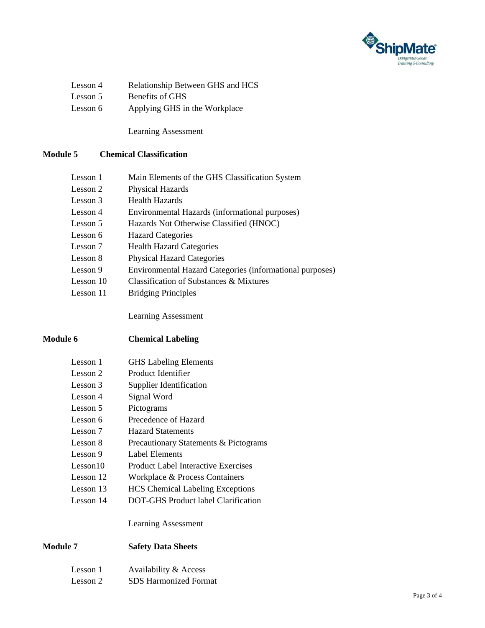

| Lesson 4 | Relationship Between GHS and HCS |
|----------|----------------------------------|
| Lesson 5 | Benefits of GHS                  |
| Lesson 6 | Applying GHS in the Workplace    |

Learning Assessment

## **Module 5 Chemical Classification**

| Lesson 1    | Main Elements of the GHS Classification System           |
|-------------|----------------------------------------------------------|
| Lesson 2    | Physical Hazards                                         |
| Lesson 3    | <b>Health Hazards</b>                                    |
| Lesson 4    | Environmental Hazards (informational purposes)           |
| Lesson 5    | Hazards Not Otherwise Classified (HNOC)                  |
| Lesson 6    | <b>Hazard Categories</b>                                 |
| Lesson 7    | <b>Health Hazard Categories</b>                          |
| Lesson 8    | <b>Physical Hazard Categories</b>                        |
| Lesson 9    | Environmental Hazard Categories (informational purposes) |
| Lesson $10$ | Classification of Substances & Mixtures                  |
| Lesson 11   | <b>Bridging Principles</b>                               |

Learning Assessment

## **Module 6 Chemical Labeling**

| Lesson 1  | <b>GHS</b> Labeling Elements               |
|-----------|--------------------------------------------|
| Lesson 2  | Product Identifier                         |
| Lesson 3  | Supplier Identification                    |
| Lesson 4  | Signal Word                                |
| Lesson 5  | Pictograms                                 |
| Lesson 6  | Precedence of Hazard                       |
| Lesson 7  | <b>Hazard Statements</b>                   |
| Lesson 8  | Precautionary Statements & Pictograms      |
| Lesson 9  | Label Elements                             |
| Lesson10  | <b>Product Label Interactive Exercises</b> |
| Lesson 12 | Workplace & Process Containers             |
| Lesson 13 | <b>HCS</b> Chemical Labeling Exceptions    |
| Lesson 14 | DOT-GHS Product label Clarification        |

Learning Assessment

### **Module 7 Safety Data Sheets**

| Lesson 1 | Availability & Access        |
|----------|------------------------------|
| Lesson 2 | <b>SDS</b> Harmonized Format |